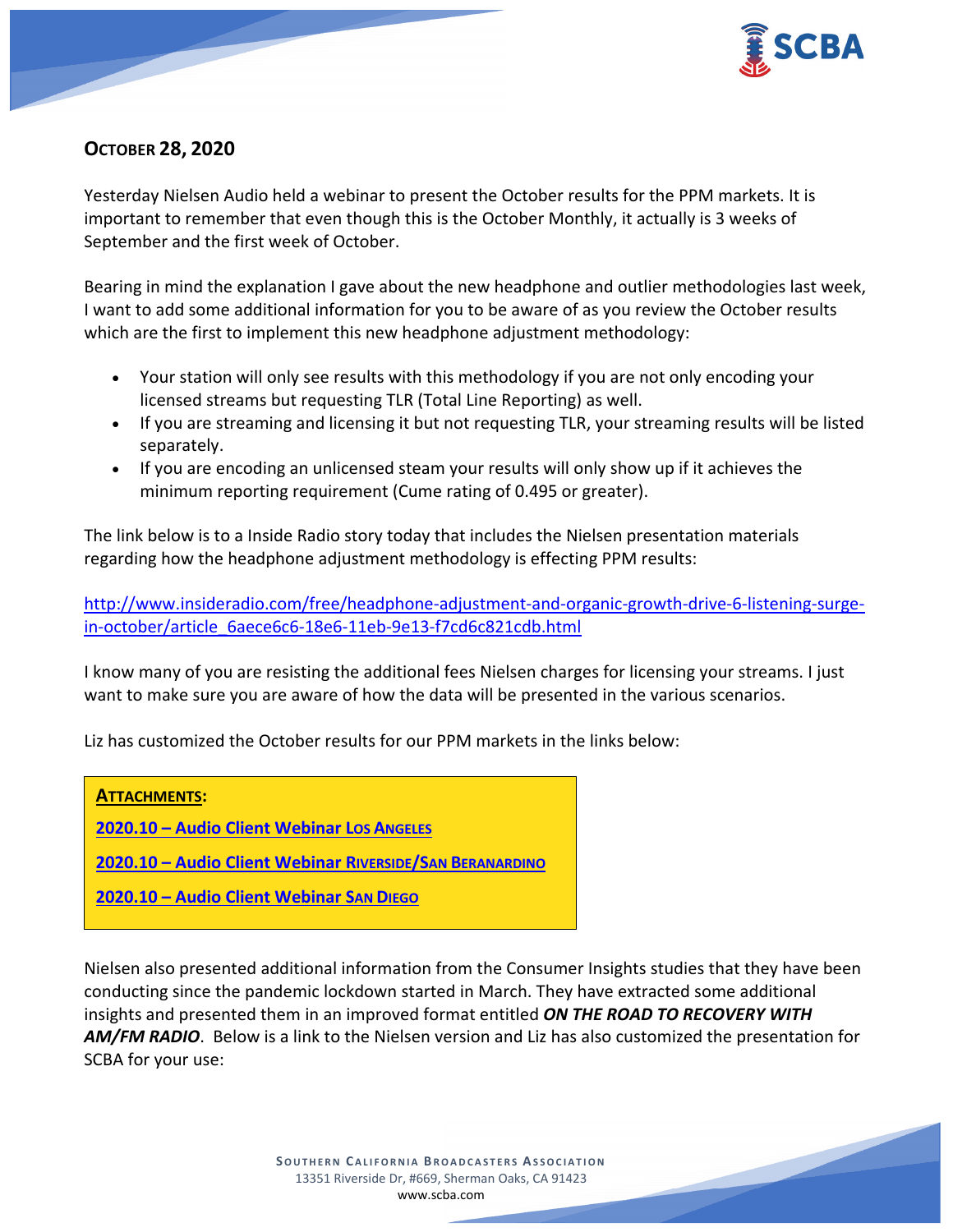

# **OCTOBER 28, 2020**

Yesterday Nielsen Audio held a webinar to present the October results for the PPM markets. It is important to remember that even though this is the October Monthly, it actually is 3 weeks of September and the first week of October.

Bearing in mind the explanation I gave about the new headphone and outlier methodologies last week, I want to add some additional information for you to be aware of as you review the October results which are the first to implement this new headphone adjustment methodology:

- Your station will only see results with this methodology if you are not only encoding your licensed streams but requesting TLR (Total Line Reporting) as well.
- If you are streaming and licensing it but not requesting TLR, your streaming results will be listed separately.
- If you are encoding an unlicensed steam your results will only show up if it achieves the minimum reporting requirement (Cume rating of 0.495 or greater).

The link below is to a Inside Radio story today that includes the Nielsen presentation materials regarding how the headphone adjustment methodology is effecting PPM results:

[http://www.insideradio.com/free/headphone-adjustment-and-organic-growth-drive-6-listening-surge](http://www.insideradio.com/free/headphone-adjustment-and-organic-growth-drive-6-listening-surge-in-october/article_6aece6c6-18e6-11eb-9e13-f7cd6c821cdb.html)[in-october/article\\_6aece6c6-18e6-11eb-9e13-f7cd6c821cdb.html](http://www.insideradio.com/free/headphone-adjustment-and-organic-growth-drive-6-listening-surge-in-october/article_6aece6c6-18e6-11eb-9e13-f7cd6c821cdb.html)

I know many of you are resisting the additional fees Nielsen charges for licensing your streams. I just want to make sure you are aware of how the data will be presented in the various scenarios.

Liz has customized the October results for our PPM markets in the links below:



**2020.10 – [Audio Client Webinar SAN DIEGO](https://scba.com/2020-10-audio-client-webinar-san-diego/)**

Nielsen also presented additional information from the Consumer Insights studies that they have been conducting since the pandemic lockdown started in March. They have extracted some additional insights and presented them in an improved format entitled *ON THE ROAD TO RECOVERY WITH AM/FM RADIO*. Below is a link to the Nielsen version and Liz has also customized the presentation for SCBA for your use: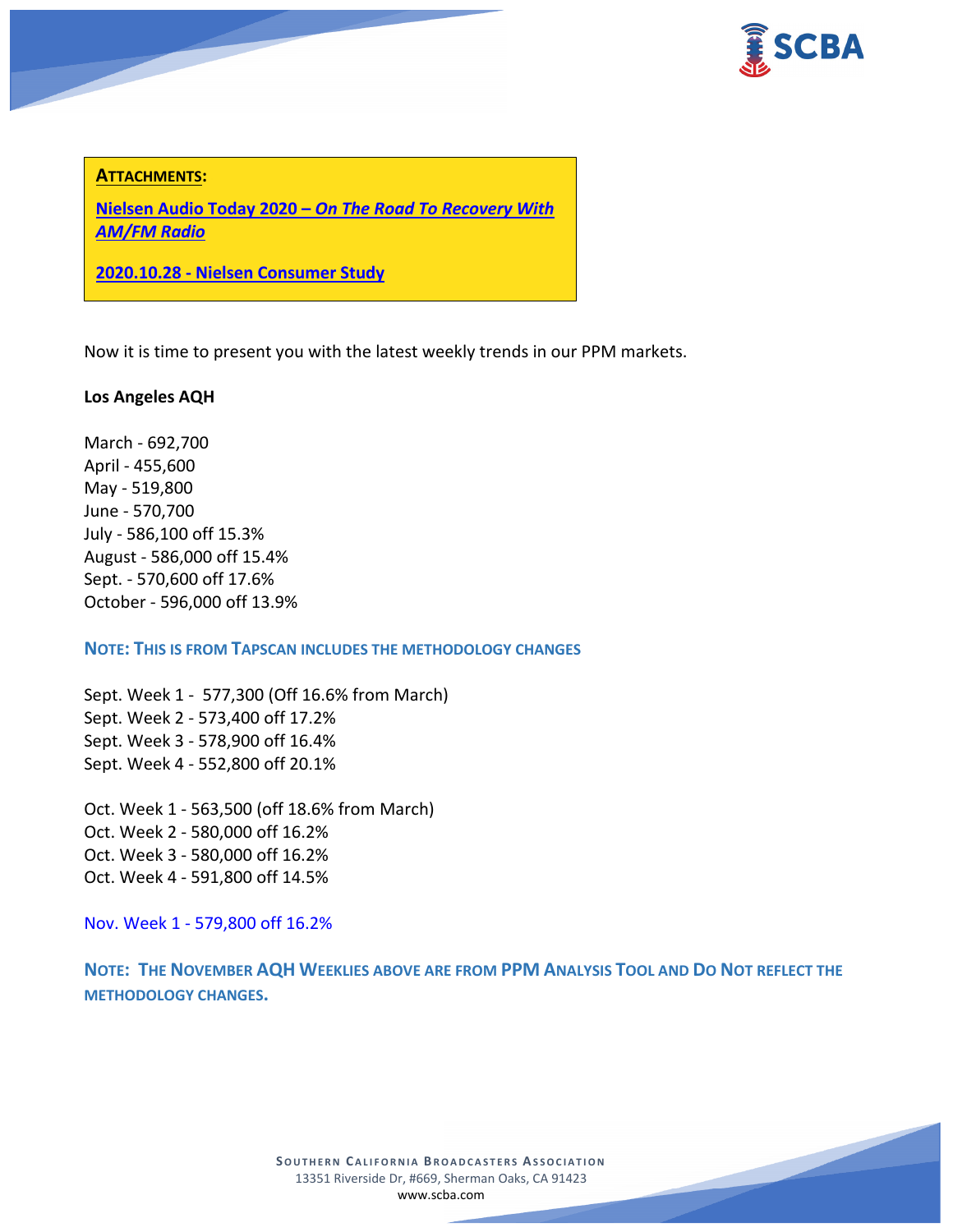

### **ATTACHMENTS:**

**Nielsen Audio Today 2020 –** *[On The Road To Recovery With](https://scba.com/nielsen-2020-audio-today-radio-recovery-oct20/)  [AM/FM Radio](https://scba.com/nielsen-2020-audio-today-radio-recovery-oct20/)*

**2020.10.28 - [Nielsen Consumer Study](https://scba.com/2020-10-28-nielsen-consumer-study-2/)**

Now it is time to present you with the latest weekly trends in our PPM markets.

### **Los Angeles AQH**

March - 692,700 April - 455,600 May - 519,800 June - 570,700 July - 586,100 off 15.3% August - 586,000 off 15.4% Sept. - 570,600 off 17.6% October - 596,000 off 13.9%

**NOTE: THIS IS FROM TAPSCAN INCLUDES THE METHODOLOGY CHANGES** 

Sept. Week 1 - 577,300 (Off 16.6% from March) Sept. Week 2 - 573,400 off 17.2% Sept. Week 3 - 578,900 off 16.4% Sept. Week 4 - 552,800 off 20.1%

Oct. Week 1 - 563,500 (off 18.6% from March) Oct. Week 2 - 580,000 off 16.2% Oct. Week 3 - 580,000 off 16.2% Oct. Week 4 - 591,800 off 14.5%

Nov. Week 1 - 579,800 off 16.2%

**NOTE: THE NOVEMBER AQH WEEKLIES ABOVE ARE FROM PPM ANALYSIS TOOL AND DO NOT REFLECT THE METHODOLOGY CHANGES.**

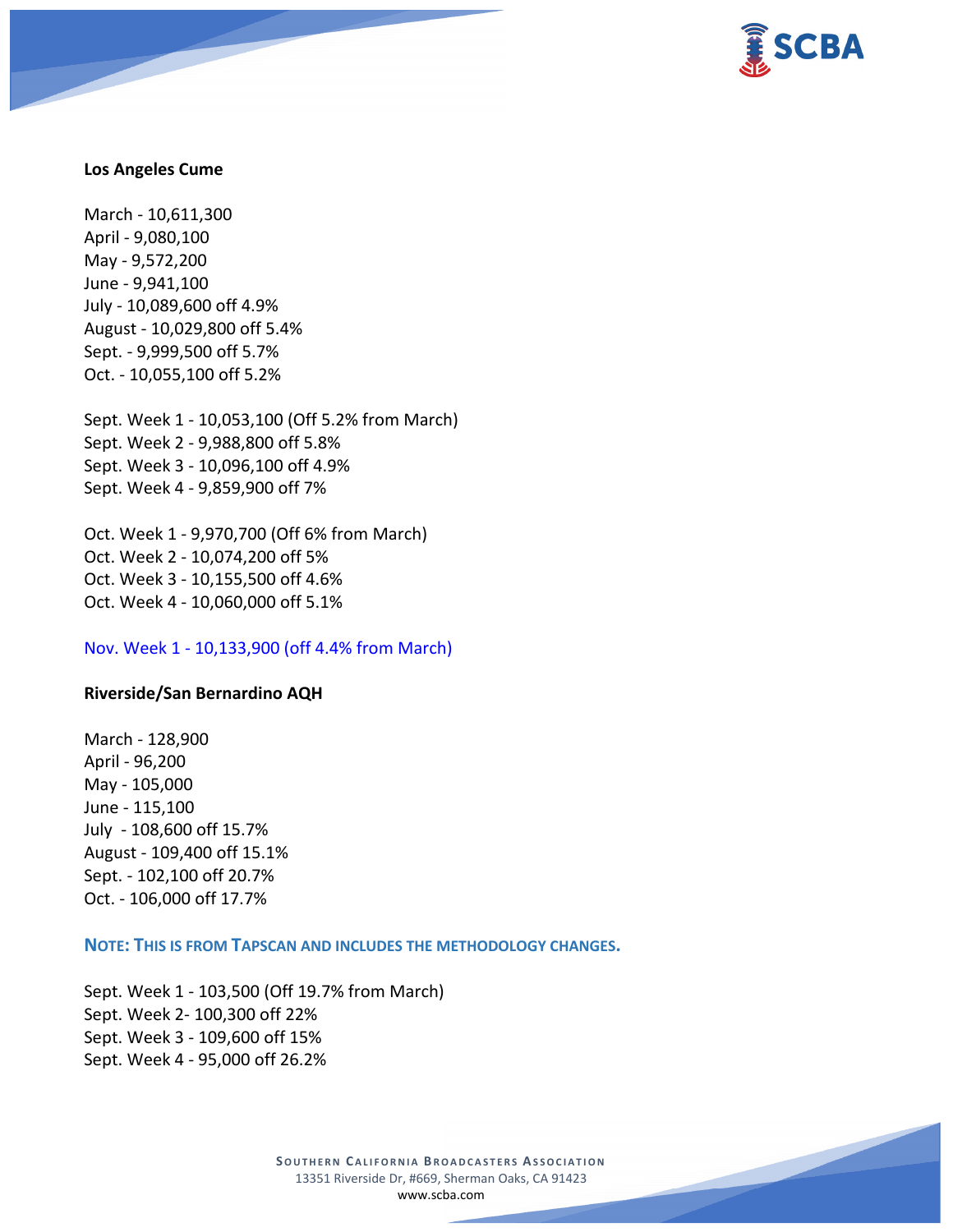

#### **Los Angeles Cume**

March - 10,611,300 April - 9,080,100 May - 9,572,200 June - 9,941,100 July - 10,089,600 off 4.9% August - 10,029,800 off 5.4% Sept. - 9,999,500 off 5.7% Oct. - 10,055,100 off 5.2%

Sept. Week 1 - 10,053,100 (Off 5.2% from March) Sept. Week 2 - 9,988,800 off 5.8% Sept. Week 3 - 10,096,100 off 4.9% Sept. Week 4 - 9,859,900 off 7%

Oct. Week 1 - 9,970,700 (Off 6% from March) Oct. Week 2 - 10,074,200 off 5% Oct. Week 3 - 10,155,500 off 4.6% Oct. Week 4 - 10,060,000 off 5.1%

Nov. Week 1 - 10,133,900 (off 4.4% from March)

#### **Riverside/San Bernardino AQH**

March - 128,900 April - 96,200 May - 105,000 June - 115,100 July - 108,600 off 15.7% August - 109,400 off 15.1% Sept. - 102,100 off 20.7% Oct. - 106,000 off 17.7%

### **NOTE: THIS IS FROM TAPSCAN AND INCLUDES THE METHODOLOGY CHANGES.**

Sept. Week 1 - 103,500 (Off 19.7% from March) Sept. Week 2- 100,300 off 22% Sept. Week 3 - 109,600 off 15% Sept. Week 4 - 95,000 off 26.2%

> **SOUTHERN CALIFORNIA BROADCASTERS ASSOCIATION** 13351 Riverside Dr, #669, Sherman Oaks, CA 91423 [www.scba.com](http://www.scba.com/)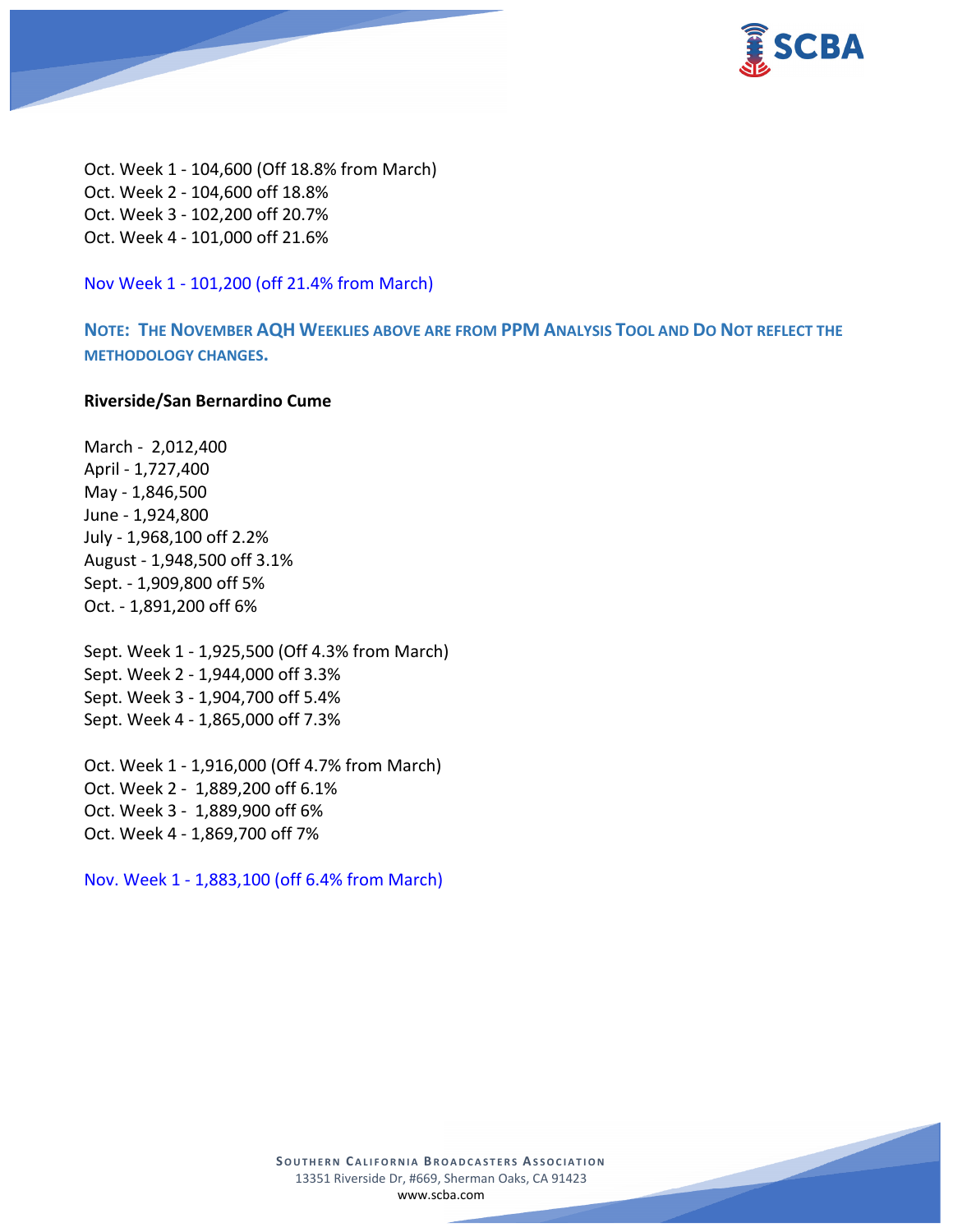

Oct. Week 1 - 104,600 (Off 18.8% from March) Oct. Week 2 - 104,600 off 18.8% Oct. Week 3 - 102,200 off 20.7% Oct. Week 4 - 101,000 off 21.6%

Nov Week 1 - 101,200 (off 21.4% from March)

**NOTE: THE NOVEMBER AQH WEEKLIES ABOVE ARE FROM PPM ANALYSIS TOOL AND DO NOT REFLECT THE METHODOLOGY CHANGES.**

### **Riverside/San Bernardino Cume**

March - 2,012,400 April - 1,727,400 May - 1,846,500 June - 1,924,800 July - 1,968,100 off 2.2% August - 1,948,500 off 3.1% Sept. - 1,909,800 off 5% Oct. - 1,891,200 off 6%

Sept. Week 1 - 1,925,500 (Off 4.3% from March) Sept. Week 2 - 1,944,000 off 3.3% Sept. Week 3 - 1,904,700 off 5.4% Sept. Week 4 - 1,865,000 off 7.3%

Oct. Week 1 - 1,916,000 (Off 4.7% from March) Oct. Week 2 - 1,889,200 off 6.1% Oct. Week 3 - 1,889,900 off 6% Oct. Week 4 - 1,869,700 off 7%

Nov. Week 1 - 1,883,100 (off 6.4% from March)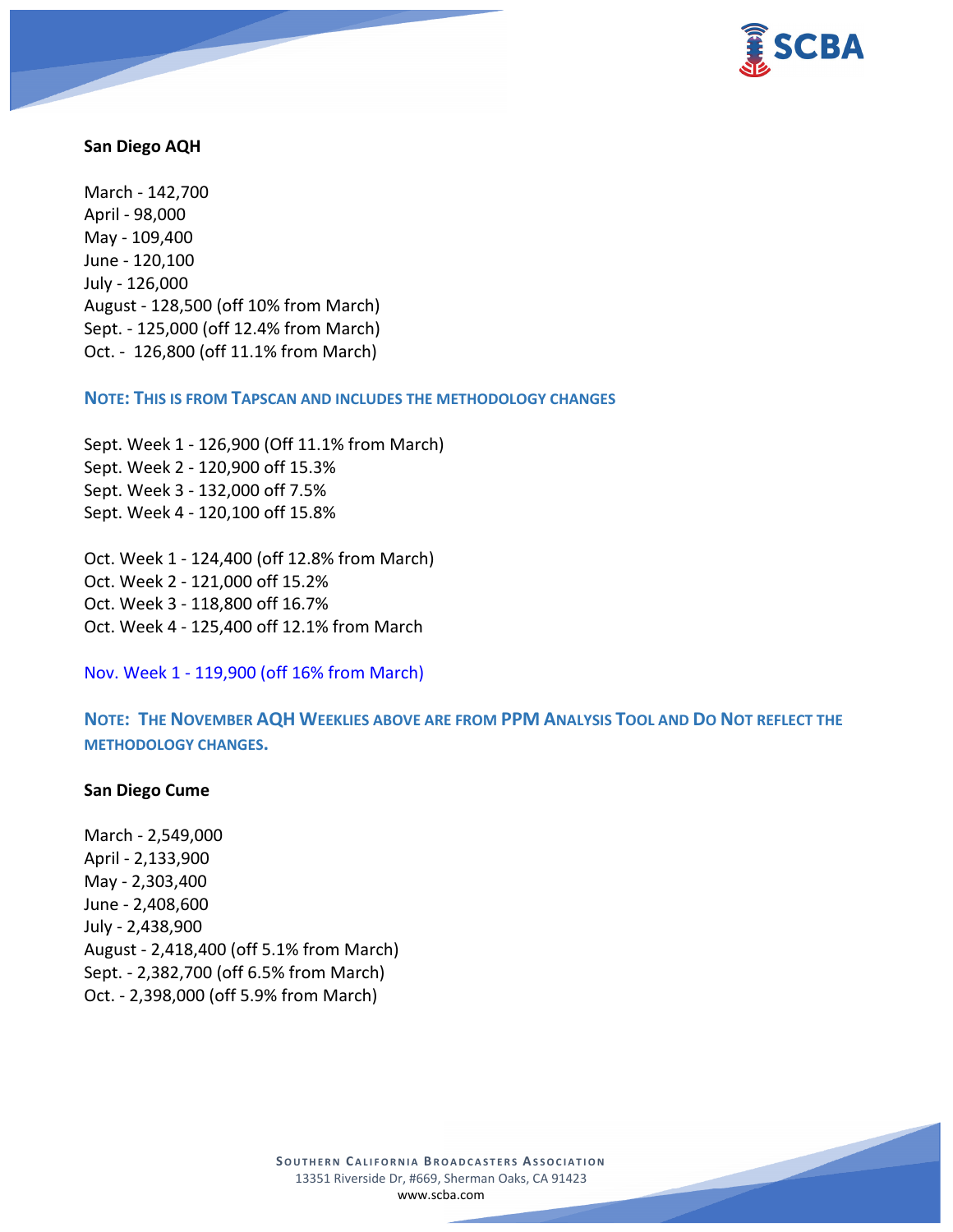

#### **San Diego AQH**

March - 142,700 April - 98,000 May - 109,400 June - 120,100 July - 126,000 August - 128,500 (off 10% from March) Sept. - 125,000 (off 12.4% from March) Oct. - 126,800 (off 11.1% from March)

**NOTE: THIS IS FROM TAPSCAN AND INCLUDES THE METHODOLOGY CHANGES** 

Sept. Week 1 - 126,900 (Off 11.1% from March) Sept. Week 2 - 120,900 off 15.3% Sept. Week 3 - 132,000 off 7.5% Sept. Week 4 - 120,100 off 15.8%

Oct. Week 1 - 124,400 (off 12.8% from March) Oct. Week 2 - 121,000 off 15.2% Oct. Week 3 - 118,800 off 16.7% Oct. Week 4 - 125,400 off 12.1% from March

Nov. Week 1 - 119,900 (off 16% from March)

**NOTE: THE NOVEMBER AQH WEEKLIES ABOVE ARE FROM PPM ANALYSIS TOOL AND DO NOT REFLECT THE METHODOLOGY CHANGES.**

### **San Diego Cume**

March - 2,549,000 April - 2,133,900 May - 2,303,400 June - 2,408,600 July - 2,438,900 August - 2,418,400 (off 5.1% from March) Sept. - 2,382,700 (off 6.5% from March) Oct. - 2,398,000 (off 5.9% from March)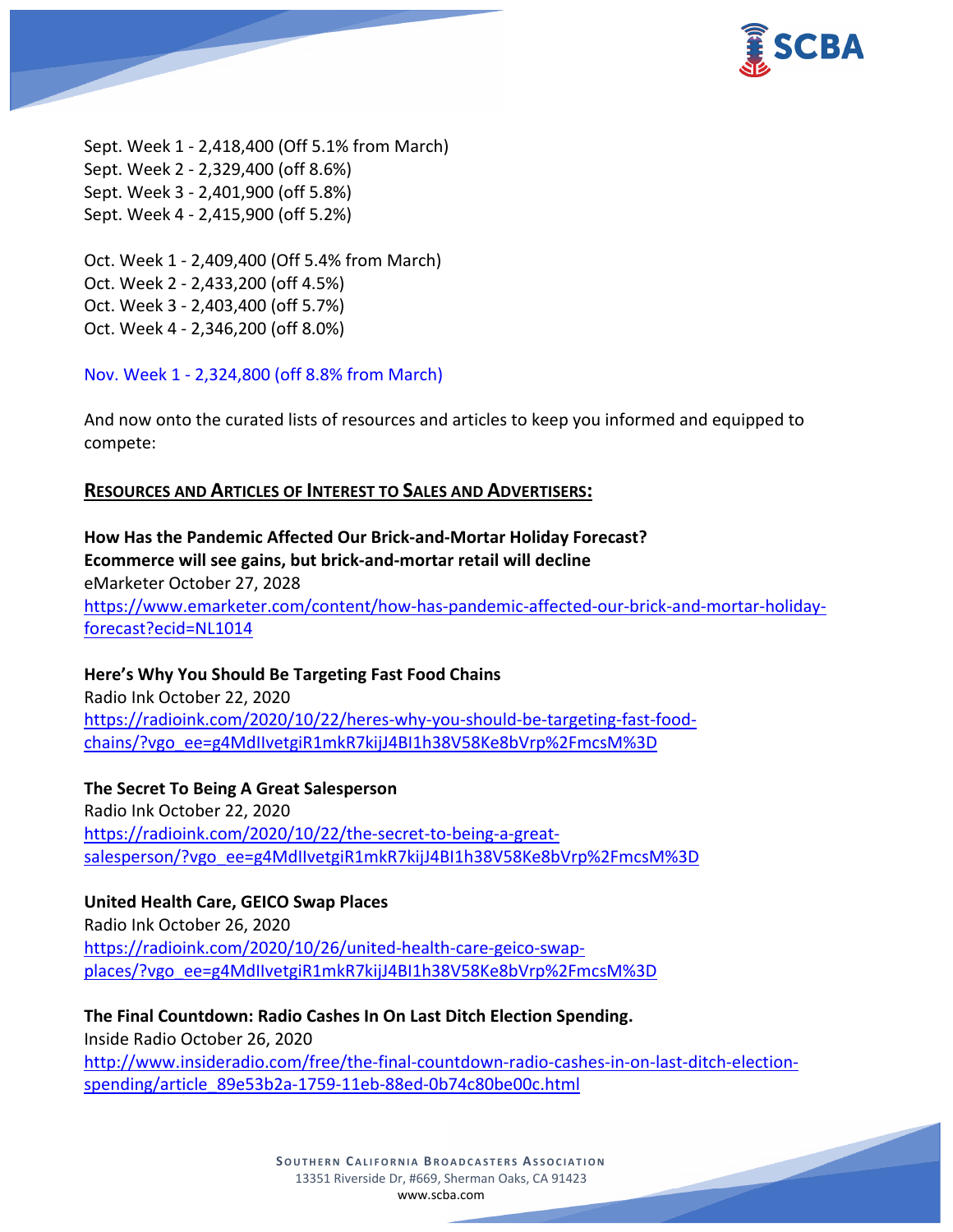

Sept. Week 1 - 2,418,400 (Off 5.1% from March) Sept. Week 2 - 2,329,400 (off 8.6%) Sept. Week 3 - 2,401,900 (off 5.8%) Sept. Week 4 - 2,415,900 (off 5.2%)

Oct. Week 1 - 2,409,400 (Off 5.4% from March) Oct. Week 2 - 2,433,200 (off 4.5%) Oct. Week 3 - 2,403,400 (off 5.7%) Oct. Week 4 - 2,346,200 (off 8.0%)

Nov. Week 1 - 2,324,800 (off 8.8% from March)

And now onto the curated lists of resources and articles to keep you informed and equipped to compete:

## **RESOURCES AND ARTICLES OF INTEREST TO SALES AND ADVERTISERS:**

**How Has the Pandemic Affected Our Brick-and-Mortar Holiday Forecast? Ecommerce will see gains, but brick-and-mortar retail will decline** eMarketer October 27, 2028 [https://www.emarketer.com/content/how-has-pandemic-affected-our-brick-and-mortar-holiday](https://www.emarketer.com/content/how-has-pandemic-affected-our-brick-and-mortar-holiday-forecast?ecid=NL1014)[forecast?ecid=NL1014](https://www.emarketer.com/content/how-has-pandemic-affected-our-brick-and-mortar-holiday-forecast?ecid=NL1014)

### **Here's Why You Should Be Targeting Fast Food Chains**

Radio Ink October 22, 2020 [https://radioink.com/2020/10/22/heres-why-you-should-be-targeting-fast-food](https://radioink.com/2020/10/22/heres-why-you-should-be-targeting-fast-food-chains/?vgo_ee=g4MdIIvetgiR1mkR7kijJ4BI1h38V58Ke8bVrp%2FmcsM%3D)[chains/?vgo\\_ee=g4MdIIvetgiR1mkR7kijJ4BI1h38V58Ke8bVrp%2FmcsM%3D](https://radioink.com/2020/10/22/heres-why-you-should-be-targeting-fast-food-chains/?vgo_ee=g4MdIIvetgiR1mkR7kijJ4BI1h38V58Ke8bVrp%2FmcsM%3D)

**The Secret To Being A Great Salesperson** Radio Ink October 22, 2020 [https://radioink.com/2020/10/22/the-secret-to-being-a-great](https://radioink.com/2020/10/22/the-secret-to-being-a-great-salesperson/?vgo_ee=g4MdIIvetgiR1mkR7kijJ4BI1h38V58Ke8bVrp%2FmcsM%3D)[salesperson/?vgo\\_ee=g4MdIIvetgiR1mkR7kijJ4BI1h38V58Ke8bVrp%2FmcsM%3D](https://radioink.com/2020/10/22/the-secret-to-being-a-great-salesperson/?vgo_ee=g4MdIIvetgiR1mkR7kijJ4BI1h38V58Ke8bVrp%2FmcsM%3D)

### **United Health Care, GEICO Swap Places**

Radio Ink October 26, 2020 [https://radioink.com/2020/10/26/united-health-care-geico-swap](https://radioink.com/2020/10/26/united-health-care-geico-swap-places/?vgo_ee=g4MdIIvetgiR1mkR7kijJ4BI1h38V58Ke8bVrp%2FmcsM%3D)[places/?vgo\\_ee=g4MdIIvetgiR1mkR7kijJ4BI1h38V58Ke8bVrp%2FmcsM%3D](https://radioink.com/2020/10/26/united-health-care-geico-swap-places/?vgo_ee=g4MdIIvetgiR1mkR7kijJ4BI1h38V58Ke8bVrp%2FmcsM%3D)

**The Final Countdown: Radio Cashes In On Last Ditch Election Spending.** Inside Radio October 26, 2020 [http://www.insideradio.com/free/the-final-countdown-radio-cashes-in-on-last-ditch-election](http://www.insideradio.com/free/the-final-countdown-radio-cashes-in-on-last-ditch-election-spending/article_89e53b2a-1759-11eb-88ed-0b74c80be00c.html)[spending/article\\_89e53b2a-1759-11eb-88ed-0b74c80be00c.html](http://www.insideradio.com/free/the-final-countdown-radio-cashes-in-on-last-ditch-election-spending/article_89e53b2a-1759-11eb-88ed-0b74c80be00c.html)

> **SOUTHERN CALIFORNIA BROADCASTERS ASSOCIATION** 13351 Riverside Dr, #669, Sherman Oaks, CA 91423 [www.scba.com](http://www.scba.com/)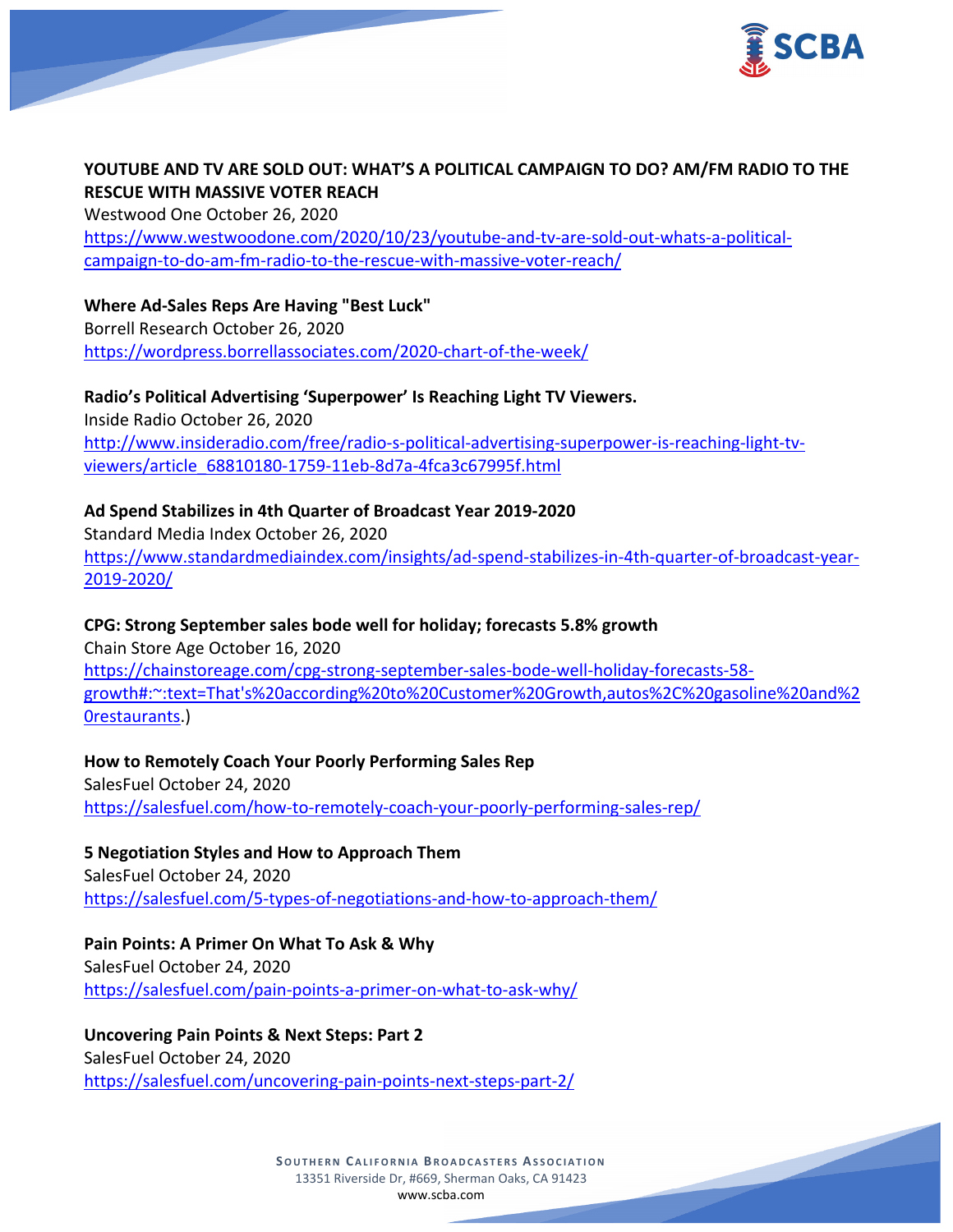

# **YOUTUBE AND TV ARE SOLD OUT: WHAT'S A POLITICAL CAMPAIGN TO DO? AM/FM RADIO TO THE RESCUE WITH MASSIVE VOTER REACH**

Westwood One October 26, 2020 [https://www.westwoodone.com/2020/10/23/youtube-and-tv-are-sold-out-whats-a-political](https://www.westwoodone.com/2020/10/23/youtube-and-tv-are-sold-out-whats-a-political-campaign-to-do-am-fm-radio-to-the-rescue-with-massive-voter-reach/)[campaign-to-do-am-fm-radio-to-the-rescue-with-massive-voter-reach/](https://www.westwoodone.com/2020/10/23/youtube-and-tv-are-sold-out-whats-a-political-campaign-to-do-am-fm-radio-to-the-rescue-with-massive-voter-reach/)

**Where Ad-Sales Reps Are Having "Best Luck"** Borrell Research October 26, 2020 <https://wordpress.borrellassociates.com/2020-chart-of-the-week/>

**Radio's Political Advertising 'Superpower' Is Reaching Light TV Viewers.** Inside Radio October 26, 2020 [http://www.insideradio.com/free/radio-s-political-advertising-superpower-is-reaching-light-tv](http://www.insideradio.com/free/radio-s-political-advertising-superpower-is-reaching-light-tv-viewers/article_68810180-1759-11eb-8d7a-4fca3c67995f.html)[viewers/article\\_68810180-1759-11eb-8d7a-4fca3c67995f.html](http://www.insideradio.com/free/radio-s-political-advertising-superpower-is-reaching-light-tv-viewers/article_68810180-1759-11eb-8d7a-4fca3c67995f.html)

# **Ad Spend Stabilizes in 4th Quarter of Broadcast Year 2019-2020**

Standard Media Index October 26, 2020 [https://www.standardmediaindex.com/insights/ad-spend-stabilizes-in-4th-quarter-of-broadcast-year-](https://www.standardmediaindex.com/insights/ad-spend-stabilizes-in-4th-quarter-of-broadcast-year-2019-2020/)[2019-2020/](https://www.standardmediaindex.com/insights/ad-spend-stabilizes-in-4th-quarter-of-broadcast-year-2019-2020/)

## **CPG: Strong September sales bode well for holiday; forecasts 5.8% growth**

Chain Store Age October 16, 2020 [https://chainstoreage.com/cpg-strong-september-sales-bode-well-holiday-forecasts-58](https://chainstoreage.com/cpg-strong-september-sales-bode-well-holiday-forecasts-58-growth#:%7E:text=That) [growth#:~:text=That's%20according%20to%20Customer%20Growth,autos%2C%20gasoline%20and%2](https://chainstoreage.com/cpg-strong-september-sales-bode-well-holiday-forecasts-58-growth#:%7E:text=That) [0restaurants.](https://chainstoreage.com/cpg-strong-september-sales-bode-well-holiday-forecasts-58-growth#:%7E:text=That))

**How to Remotely Coach Your Poorly Performing Sales Rep** SalesFuel October 24, 2020 <https://salesfuel.com/how-to-remotely-coach-your-poorly-performing-sales-rep/>

**5 Negotiation Styles and How to Approach Them** SalesFuel October 24, 2020 <https://salesfuel.com/5-types-of-negotiations-and-how-to-approach-them/>

**Pain Points: A Primer On What To Ask & Why**

SalesFuel October 24, 2020 <https://salesfuel.com/pain-points-a-primer-on-what-to-ask-why/>

**Uncovering Pain Points & Next Steps: Part 2**

SalesFuel October 24, 2020 <https://salesfuel.com/uncovering-pain-points-next-steps-part-2/>

> **SOUTHERN CALIFORNIA BROADCASTERS ASSOCIATION** 13351 Riverside Dr, #669, Sherman Oaks, CA 91423 [www.scba.com](http://www.scba.com/)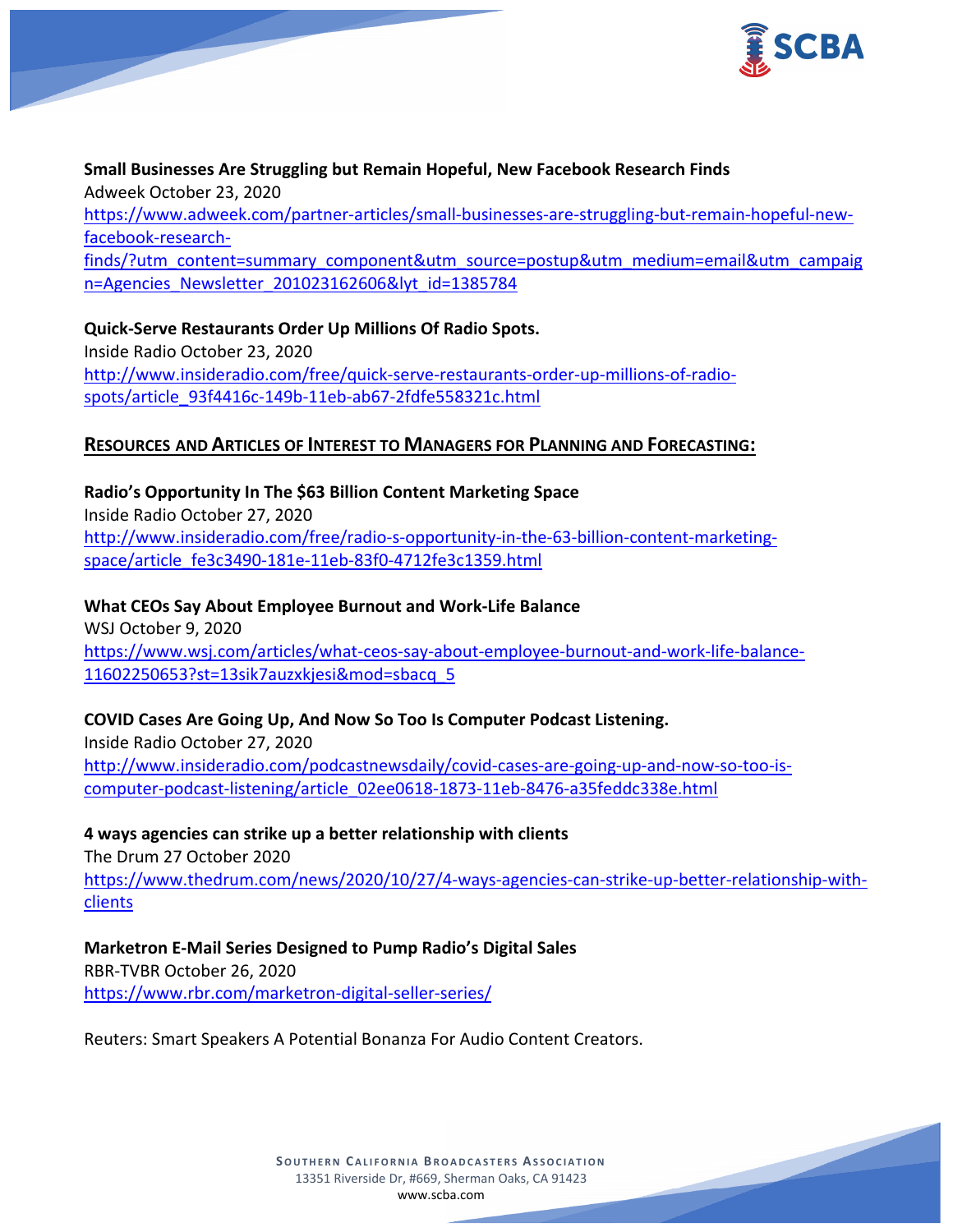

**Small Businesses Are Struggling but Remain Hopeful, New Facebook Research Finds** Adweek October 23, 2020 [https://www.adweek.com/partner-articles/small-businesses-are-struggling-but-remain-hopeful-new](https://www.adweek.com/partner-articles/small-businesses-are-struggling-but-remain-hopeful-new-facebook-research-finds/?utm_content=summary_component&utm_source=postup&utm_medium=email&utm_campaign=Agencies_Newsletter_201023162606&lyt_id=1385784)[facebook-research](https://www.adweek.com/partner-articles/small-businesses-are-struggling-but-remain-hopeful-new-facebook-research-finds/?utm_content=summary_component&utm_source=postup&utm_medium=email&utm_campaign=Agencies_Newsletter_201023162606&lyt_id=1385784)[finds/?utm\\_content=summary\\_component&utm\\_source=postup&utm\\_medium=email&utm\\_campaig](https://www.adweek.com/partner-articles/small-businesses-are-struggling-but-remain-hopeful-new-facebook-research-finds/?utm_content=summary_component&utm_source=postup&utm_medium=email&utm_campaign=Agencies_Newsletter_201023162606&lyt_id=1385784) [n=Agencies\\_Newsletter\\_201023162606&lyt\\_id=1385784](https://www.adweek.com/partner-articles/small-businesses-are-struggling-but-remain-hopeful-new-facebook-research-finds/?utm_content=summary_component&utm_source=postup&utm_medium=email&utm_campaign=Agencies_Newsletter_201023162606&lyt_id=1385784)

**Quick-Serve Restaurants Order Up Millions Of Radio Spots.** Inside Radio October 23, 2020 [http://www.insideradio.com/free/quick-serve-restaurants-order-up-millions-of-radio](http://www.insideradio.com/free/quick-serve-restaurants-order-up-millions-of-radio-spots/article_93f4416c-149b-11eb-ab67-2fdfe558321c.html)[spots/article\\_93f4416c-149b-11eb-ab67-2fdfe558321c.html](http://www.insideradio.com/free/quick-serve-restaurants-order-up-millions-of-radio-spots/article_93f4416c-149b-11eb-ab67-2fdfe558321c.html)

### **RESOURCES AND ARTICLES OF INTEREST TO MANAGERS FOR PLANNING AND FORECASTING:**

**Radio's Opportunity In The \$63 Billion Content Marketing Space** Inside Radio October 27, 2020 [http://www.insideradio.com/free/radio-s-opportunity-in-the-63-billion-content-marketing](http://www.insideradio.com/free/radio-s-opportunity-in-the-63-billion-content-marketing-space/article_fe3c3490-181e-11eb-83f0-4712fe3c1359.html)[space/article\\_fe3c3490-181e-11eb-83f0-4712fe3c1359.html](http://www.insideradio.com/free/radio-s-opportunity-in-the-63-billion-content-marketing-space/article_fe3c3490-181e-11eb-83f0-4712fe3c1359.html)

**What CEOs Say About Employee Burnout and Work-Life Balance** WSJ October 9, 2020 [https://www.wsj.com/articles/what-ceos-say-about-employee-burnout-and-work-life-balance-](https://www.wsj.com/articles/what-ceos-say-about-employee-burnout-and-work-life-balance-11602250653?st=13sik7auzxkjesi&mod=sbacq_5)[11602250653?st=13sik7auzxkjesi&mod=sbacq\\_5](https://www.wsj.com/articles/what-ceos-say-about-employee-burnout-and-work-life-balance-11602250653?st=13sik7auzxkjesi&mod=sbacq_5)

#### **COVID Cases Are Going Up, And Now So Too Is Computer Podcast Listening.**

Inside Radio October 27, 2020 [http://www.insideradio.com/podcastnewsdaily/covid-cases-are-going-up-and-now-so-too-is](http://www.insideradio.com/podcastnewsdaily/covid-cases-are-going-up-and-now-so-too-is-computer-podcast-listening/article_02ee0618-1873-11eb-8476-a35feddc338e.html)[computer-podcast-listening/article\\_02ee0618-1873-11eb-8476-a35feddc338e.html](http://www.insideradio.com/podcastnewsdaily/covid-cases-are-going-up-and-now-so-too-is-computer-podcast-listening/article_02ee0618-1873-11eb-8476-a35feddc338e.html)

#### **4 ways agencies can strike up a better relationship with clients**

The Drum 27 October 2020 [https://www.thedrum.com/news/2020/10/27/4-ways-agencies-can-strike-up-better-relationship-with](https://www.thedrum.com/news/2020/10/27/4-ways-agencies-can-strike-up-better-relationship-with-clients)[clients](https://www.thedrum.com/news/2020/10/27/4-ways-agencies-can-strike-up-better-relationship-with-clients)

#### **Marketron E-Mail Series Designed to Pump Radio's Digital Sales**

RBR-TVBR October 26, 2020 <https://www.rbr.com/marketron-digital-seller-series/>

Reuters: Smart Speakers A Potential Bonanza For Audio Content Creators.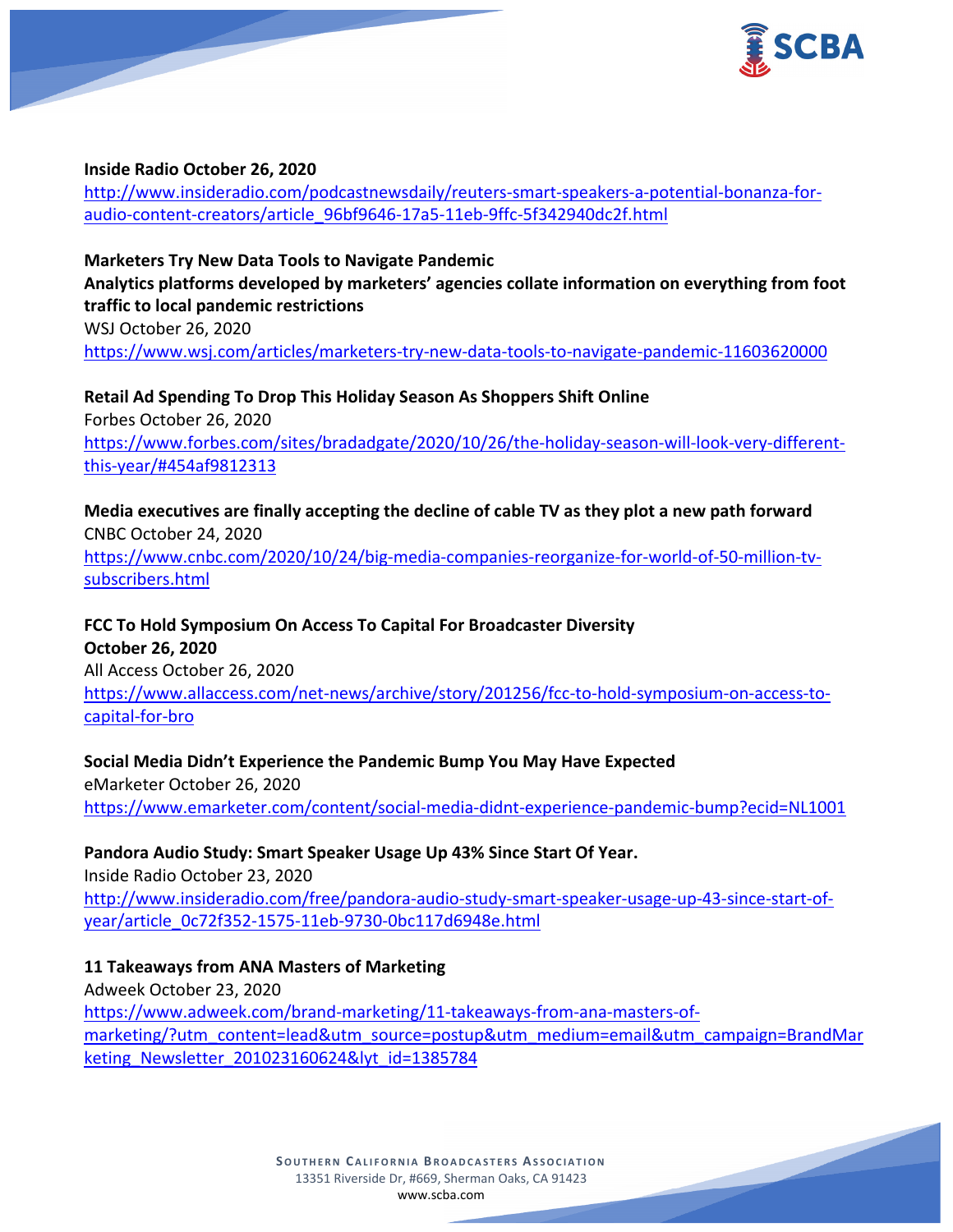

### **Inside Radio October 26, 2020**

[http://www.insideradio.com/podcastnewsdaily/reuters-smart-speakers-a-potential-bonanza-for](http://www.insideradio.com/podcastnewsdaily/reuters-smart-speakers-a-potential-bonanza-for-audio-content-creators/article_96bf9646-17a5-11eb-9ffc-5f342940dc2f.html)[audio-content-creators/article\\_96bf9646-17a5-11eb-9ffc-5f342940dc2f.html](http://www.insideradio.com/podcastnewsdaily/reuters-smart-speakers-a-potential-bonanza-for-audio-content-creators/article_96bf9646-17a5-11eb-9ffc-5f342940dc2f.html)

**Marketers Try New Data Tools to Navigate Pandemic Analytics platforms developed by marketers' agencies collate information on everything from foot traffic to local pandemic restrictions** WSJ October 26, 2020 <https://www.wsj.com/articles/marketers-try-new-data-tools-to-navigate-pandemic-11603620000>

**Retail Ad Spending To Drop This Holiday Season As Shoppers Shift Online** Forbes October 26, 2020 [https://www.forbes.com/sites/bradadgate/2020/10/26/the-holiday-season-will-look-very-different](https://www.forbes.com/sites/bradadgate/2020/10/26/the-holiday-season-will-look-very-different-this-year/#454af9812313)[this-year/#454af9812313](https://www.forbes.com/sites/bradadgate/2020/10/26/the-holiday-season-will-look-very-different-this-year/#454af9812313)

**Media executives are finally accepting the decline of cable TV as they plot a new path forward** CNBC October 24, 2020 [https://www.cnbc.com/2020/10/24/big-media-companies-reorganize-for-world-of-50-million-tv](https://www.cnbc.com/2020/10/24/big-media-companies-reorganize-for-world-of-50-million-tv-subscribers.html)[subscribers.html](https://www.cnbc.com/2020/10/24/big-media-companies-reorganize-for-world-of-50-million-tv-subscribers.html)

**FCC To Hold Symposium On Access To Capital For Broadcaster Diversity October 26, 2020** All Access October 26, 2020 [https://www.allaccess.com/net-news/archive/story/201256/fcc-to-hold-symposium-on-access-to](https://www.allaccess.com/net-news/archive/story/201256/fcc-to-hold-symposium-on-access-to-capital-for-bro)[capital-for-bro](https://www.allaccess.com/net-news/archive/story/201256/fcc-to-hold-symposium-on-access-to-capital-for-bro)

**Social Media Didn't Experience the Pandemic Bump You May Have Expected** eMarketer October 26, 2020 <https://www.emarketer.com/content/social-media-didnt-experience-pandemic-bump?ecid=NL1001>

**Pandora Audio Study: Smart Speaker Usage Up 43% Since Start Of Year.** Inside Radio October 23, 2020 [http://www.insideradio.com/free/pandora-audio-study-smart-speaker-usage-up-43-since-start-of](http://www.insideradio.com/free/pandora-audio-study-smart-speaker-usage-up-43-since-start-of-year/article_0c72f352-1575-11eb-9730-0bc117d6948e.html)[year/article\\_0c72f352-1575-11eb-9730-0bc117d6948e.html](http://www.insideradio.com/free/pandora-audio-study-smart-speaker-usage-up-43-since-start-of-year/article_0c72f352-1575-11eb-9730-0bc117d6948e.html)

**11 Takeaways from ANA Masters of Marketing** Adweek October 23, 2020 [https://www.adweek.com/brand-marketing/11-takeaways-from-ana-masters-of](https://www.adweek.com/brand-marketing/11-takeaways-from-ana-masters-of-marketing/?utm_content=lead&utm_source=postup&utm_medium=email&utm_campaign=BrandMarketing_Newsletter_201023160624&lyt_id=1385784)[marketing/?utm\\_content=lead&utm\\_source=postup&utm\\_medium=email&utm\\_campaign=BrandMar](https://www.adweek.com/brand-marketing/11-takeaways-from-ana-masters-of-marketing/?utm_content=lead&utm_source=postup&utm_medium=email&utm_campaign=BrandMarketing_Newsletter_201023160624&lyt_id=1385784) keting Newsletter 201023160624&lyt\_id=1385784